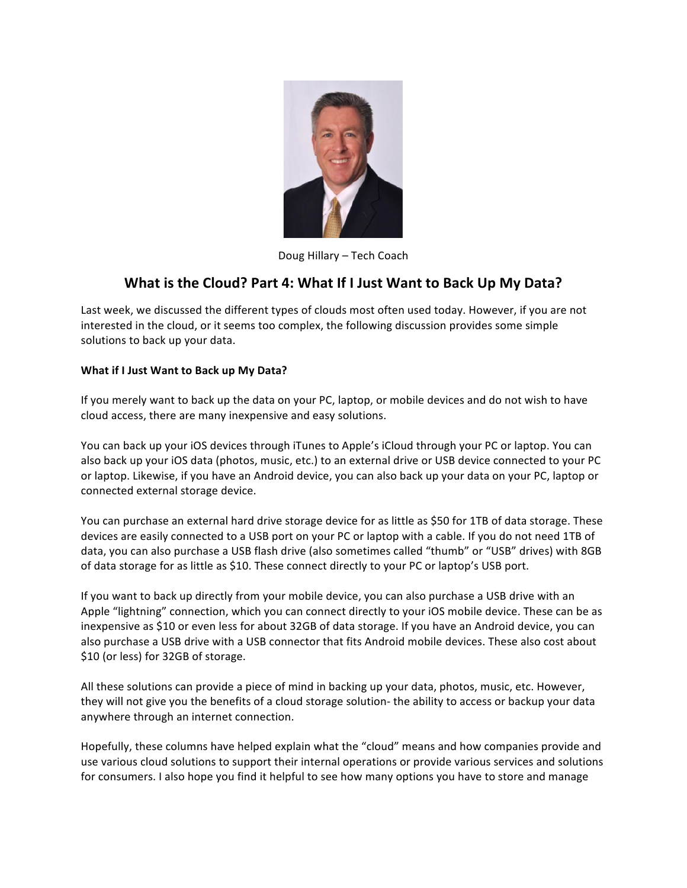

Doug Hillary - Tech Coach

## **What is the Cloud? Part 4: What If I Just Want to Back Up My Data?**

Last week, we discussed the different types of clouds most often used today. However, if you are not interested in the cloud, or it seems too complex, the following discussion provides some simple solutions to back up your data.

## **What if I Just Want to Back up My Data?**

If you merely want to back up the data on your PC, laptop, or mobile devices and do not wish to have cloud access, there are many inexpensive and easy solutions.

You can back up your iOS devices through iTunes to Apple's iCloud through your PC or laptop. You can also back up your iOS data (photos, music, etc.) to an external drive or USB device connected to your PC or laptop. Likewise, if you have an Android device, you can also back up your data on your PC, laptop or connected external storage device.

You can purchase an external hard drive storage device for as little as \$50 for 1TB of data storage. These devices are easily connected to a USB port on your PC or laptop with a cable. If you do not need 1TB of data, you can also purchase a USB flash drive (also sometimes called "thumb" or "USB" drives) with 8GB of data storage for as little as \$10. These connect directly to your PC or laptop's USB port.

If you want to back up directly from your mobile device, you can also purchase a USB drive with an Apple "lightning" connection, which you can connect directly to your iOS mobile device. These can be as inexpensive as \$10 or even less for about 32GB of data storage. If you have an Android device, you can also purchase a USB drive with a USB connector that fits Android mobile devices. These also cost about \$10 (or less) for 32GB of storage.

All these solutions can provide a piece of mind in backing up your data, photos, music, etc. However, they will not give you the benefits of a cloud storage solution- the ability to access or backup your data anywhere through an internet connection.

Hopefully, these columns have helped explain what the "cloud" means and how companies provide and use various cloud solutions to support their internal operations or provide various services and solutions for consumers. I also hope you find it helpful to see how many options you have to store and manage